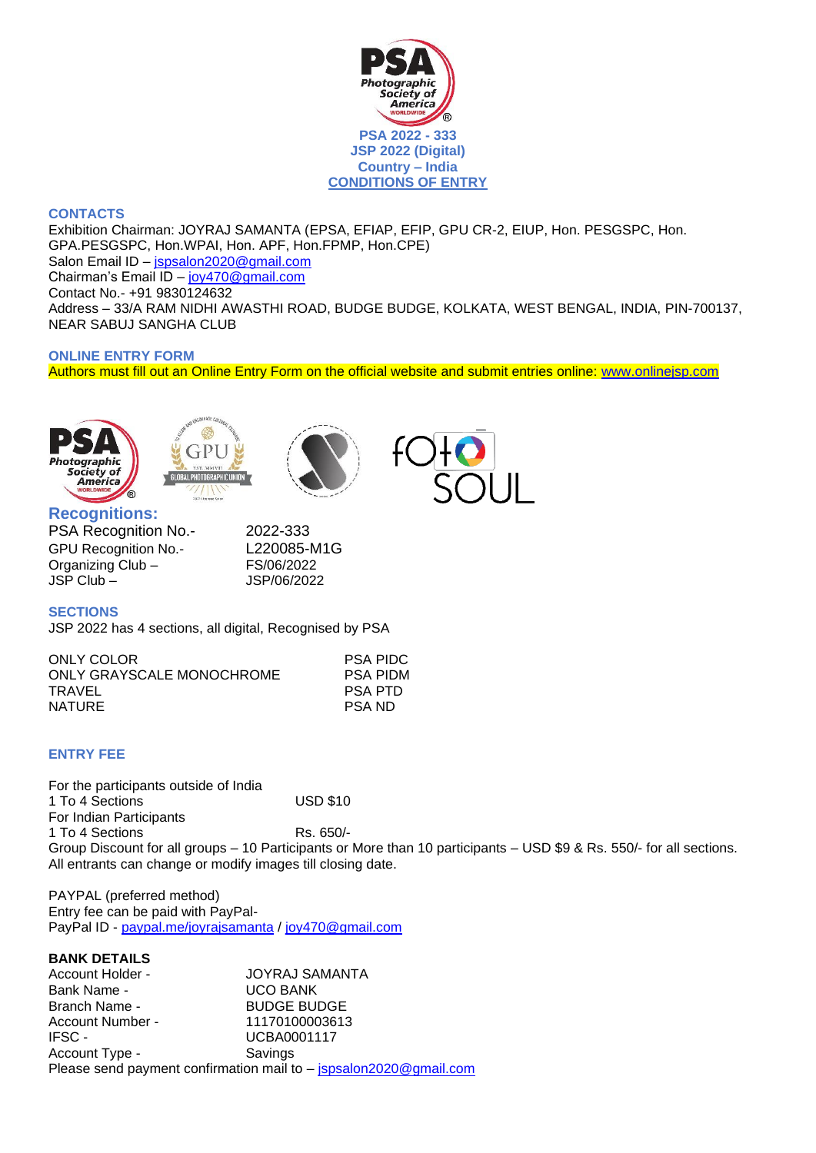

## **CONTACTS**

Exhibition Chairman: JOYRAJ SAMANTA (EPSA, EFIAP, EFIP, GPU CR-2, EIUP, Hon. PESGSPC, Hon. GPA.PESGSPC, Hon.WPAI, Hon. APF, Hon.FPMP, Hon.CPE) Salon Email ID – [jspsalon2020@gmail.com](mailto:jspsalon2020@gmail.com) Chairman's Email ID – [joy470@gmail.com](mailto:joy470@gmail.com) Contact No.- +91 9830124632 Address – 33/A RAM NIDHI AWASTHI ROAD, BUDGE BUDGE, KOLKATA, WEST BENGAL, INDIA, PIN-700137, NEAR SABUJ SANGHA CLUB

## **ONLINE ENTRY FORM**

Authors must fill out an Online Entry Form on the official website and submit entries online: [www.onlinejsp.com](http://www.onlinejsp.com/)







# **Recognitions:**

PSA Recognition No.- 2022-333 GPU Recognition No.- L220085-M1G Organizing Club – FS/06/2022 JSP Club – JSP/06/2022

## **SECTIONS**

JSP 2022 has 4 sections, all digital, Recognised by PSA

| ONLY COLOR                | <b>PSA PIDC</b> |
|---------------------------|-----------------|
| ONLY GRAYSCALE MONOCHROME | <b>PSA PIDM</b> |
| TRAVEL                    | <b>PSA PTD</b>  |
| <b>NATURE</b>             | PSA ND          |
|                           |                 |

## **ENTRY FEE**

For the participants outside of India 1 To 4 Sections USD \$10 For Indian Participants 1 To 4 Sections Rs. 650/-Group Discount for all groups – 10 Participants or More than 10 participants – USD \$9 & Rs. 550/- for all sections. All entrants can change or modify images till closing date.

PAYPAL (preferred method) Entry fee can be paid with PayPalPayPal ID - [paypal.me/joyrajsamanta](https://www.paypal.com/paypalme/my/profile) / [joy470@gmail.com](mailto:joy470@gmail.com)

## **BANK DETAILS**

Account Holder - **JOYRAJ SAMANTA** Bank Name - 

UCO BANK Branch Name - BUDGE BUDGE Account Number - 11170100003613 IFSC - UCBA0001117 Account Type - Savings Please send payment confirmation mail to - [jspsalon2020@gmail.com](mailto:jspsalon2020@gmail.com)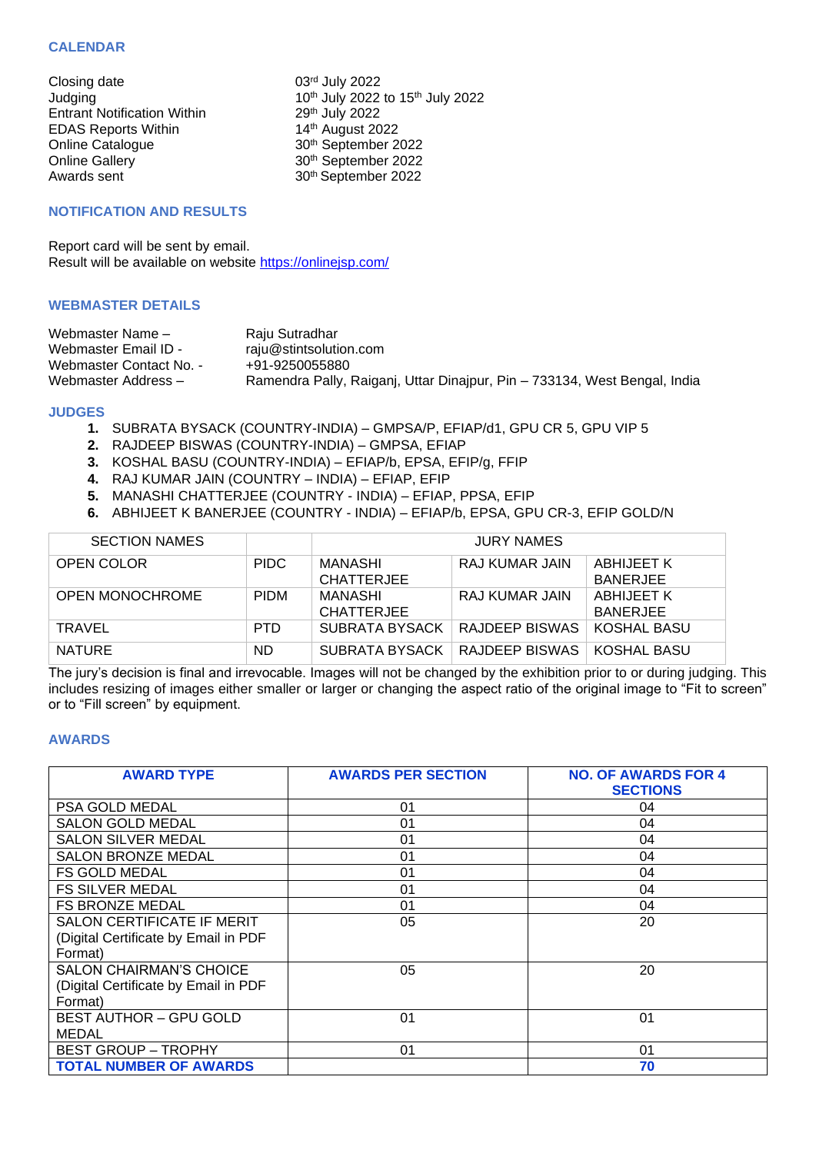### **CALENDAR**

Closing date Entrant Notification Within 29<sup>th</sup> July 2022<br>EDAS Reports Within 2014<sup>th</sup> August 2022 EDAS Reports Within<br>Online Catalogue Online Catalogue 30<sup>th</sup> September 2022<br>
Online Gallery 30<sup>th</sup> September 2022 Online Gallery 30<sup>th</sup> September 2022<br>Awards sent 30<sup>th</sup> September 2022

03rd July 2022 Judging  $10<sup>th</sup>$  July 2022 to 15<sup>th</sup> July 2022 29<sup>th</sup> July 2022 30<sup>th</sup> September 2022

### **NOTIFICATION AND RESULTS**

Report card will be sent by email. Result will be available on website<https://onlinejsp.com/>

### **WEBMASTER DETAILS**

| Webmaster Name -        | Raju Sutradhar                                                            |
|-------------------------|---------------------------------------------------------------------------|
| Webmaster Email ID -    | raju@stintsolution.com                                                    |
| Webmaster Contact No. - | +91-9250055880                                                            |
| Webmaster Address -     | Ramendra Pally, Raiganj, Uttar Dinajpur, Pin – 733134, West Bengal, India |

#### **JUDGES**

- **1.** SUBRATA BYSACK (COUNTRY-INDIA) GMPSA/P, EFIAP/d1, GPU CR 5, GPU VIP 5
- **2.** RAJDEEP BISWAS (COUNTRY-INDIA) GMPSA, EFIAP
- **3.** KOSHAL BASU (COUNTRY-INDIA) EFIAP/b, EPSA, EFIP/g, FFIP
- **4.** RAJ KUMAR JAIN (COUNTRY INDIA) EFIAP, EFIP
- **5.** MANASHI CHATTERJEE (COUNTRY INDIA) EFIAP, PPSA, EFIP
- **6.** ABHIJEET K BANERJEE (COUNTRY INDIA) EFIAP/b, EPSA, GPU CR-3, EFIP GOLD/N

| <b>SECTION NAMES</b>   |             | <b>JURY NAMES</b>               |                |                               |
|------------------------|-------------|---------------------------------|----------------|-------------------------------|
| OPEN COLOR             | <b>PIDC</b> | MANASHI<br><b>CHATTERJEE</b>    | RAJ KUMAR JAIN | ABHIJEET K<br><b>BANERJEE</b> |
| <b>OPEN MONOCHROME</b> | <b>PIDM</b> | MANASHI<br><b>CHATTERJEE</b>    | RAJ KUMAR JAIN | ABHIJEET K<br><b>BANERJEE</b> |
| TRAVEL                 | PTD.        | SUBRATA BYSACK                  | RAJDEEP BISWAS | KOSHAL BASU                   |
| <b>NATURE</b>          | ND.         | SUBRATA BYSACK   RAJDEEP BISWAS |                | KOSHAL BASU                   |

The jury's decision is final and irrevocable. Images will not be changed by the exhibition prior to or during judging. This includes resizing of images either smaller or larger or changing the aspect ratio of the original image to "Fit to screen" or to "Fill screen" by equipment.

#### **AWARDS**

| <b>AWARD TYPE</b>                                                                 | <b>AWARDS PER SECTION</b> | <b>NO. OF AWARDS FOR 4</b><br><b>SECTIONS</b> |
|-----------------------------------------------------------------------------------|---------------------------|-----------------------------------------------|
| PSA GOLD MEDAL                                                                    | 01                        | 04                                            |
| <b>SALON GOLD MEDAL</b>                                                           | 01                        | 04                                            |
| <b>SALON SILVER MEDAL</b>                                                         | 01                        | 04                                            |
| <b>SALON BRONZE MEDAL</b>                                                         | 01                        | 04                                            |
| <b>FS GOLD MEDAL</b>                                                              | 01                        | 04                                            |
| <b>FS SILVER MEDAL</b>                                                            | 01                        | 04                                            |
| <b>FS BRONZE MEDAL</b>                                                            | 01                        | 04                                            |
| SALON CERTIFICATE IF MERIT<br>(Digital Certificate by Email in PDF<br>Format)     | 05                        | 20                                            |
| <b>SALON CHAIRMAN'S CHOICE</b><br>(Digital Certificate by Email in PDF<br>Format) | 05                        | 20                                            |
| <b>BEST AUTHOR - GPU GOLD</b><br><b>MEDAL</b>                                     | 01                        | 01                                            |
| <b>BEST GROUP - TROPHY</b>                                                        | 01                        | 01                                            |
| <b>TOTAL NUMBER OF AWARDS</b>                                                     |                           | 70                                            |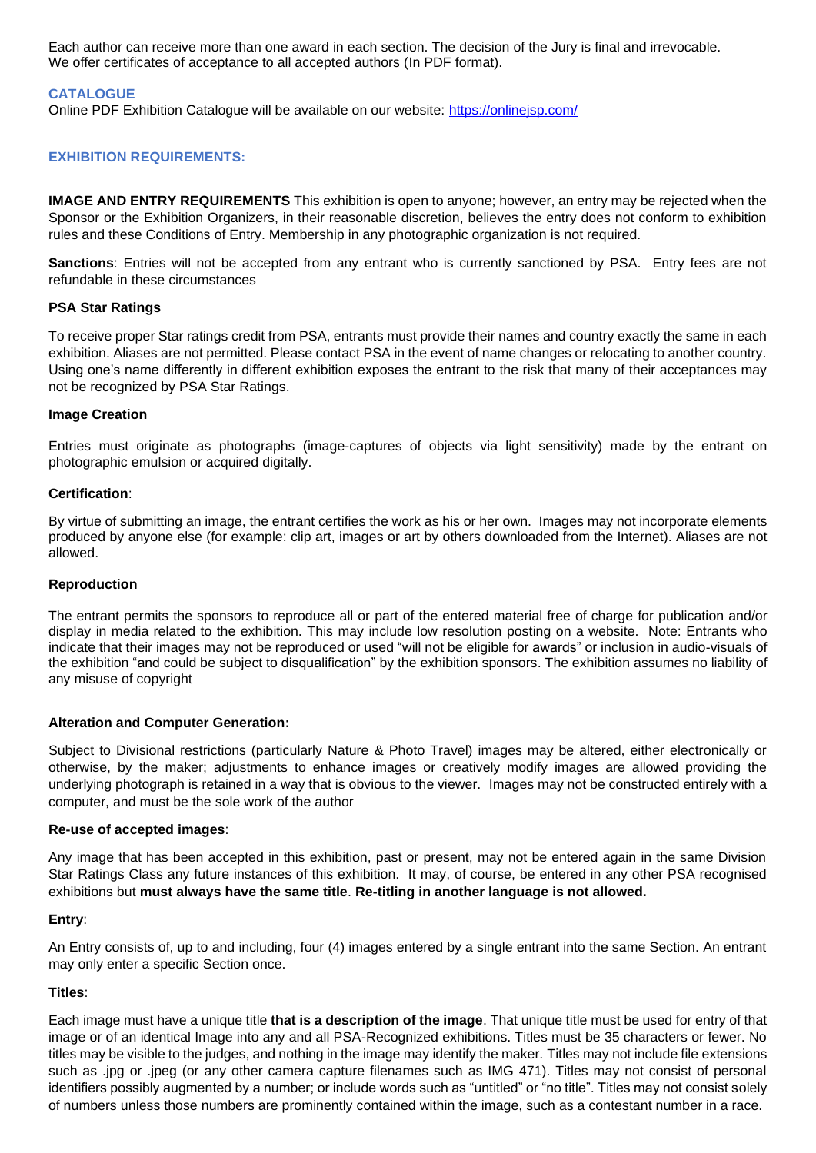Each author can receive more than one award in each section. The decision of the Jury is final and irrevocable. We offer certificates of acceptance to all accepted authors (In PDF format).

## **CATALOGUE**

Online PDF Exhibition Catalogue will be available on our website:<https://onlinejsp.com/>

## **EXHIBITION REQUIREMENTS:**

**IMAGE AND ENTRY REQUIREMENTS** This exhibition is open to anyone; however, an entry may be rejected when the Sponsor or the Exhibition Organizers, in their reasonable discretion, believes the entry does not conform to exhibition rules and these Conditions of Entry. Membership in any photographic organization is not required.

**Sanctions**: Entries will not be accepted from any entrant who is currently sanctioned by PSA. Entry fees are not refundable in these circumstances

### **PSA Star Ratings**

To receive proper Star ratings credit from PSA, entrants must provide their names and country exactly the same in each exhibition. Aliases are not permitted. Please contact PSA in the event of name changes or relocating to another country. Using one's name differently in different exhibition exposes the entrant to the risk that many of their acceptances may not be recognized by PSA Star Ratings.

#### **Image Creation**

Entries must originate as photographs (image-captures of objects via light sensitivity) made by the entrant on photographic emulsion or acquired digitally.

#### **Certification**:

By virtue of submitting an image, the entrant certifies the work as his or her own. Images may not incorporate elements produced by anyone else (for example: clip art, images or art by others downloaded from the Internet). Aliases are not allowed.

#### **Reproduction**

The entrant permits the sponsors to reproduce all or part of the entered material free of charge for publication and/or display in media related to the exhibition. This may include low resolution posting on a website. Note: Entrants who indicate that their images may not be reproduced or used "will not be eligible for awards" or inclusion in audio-visuals of the exhibition "and could be subject to disqualification" by the exhibition sponsors. The exhibition assumes no liability of any misuse of copyright

#### **Alteration and Computer Generation:**

Subject to Divisional restrictions (particularly Nature & Photo Travel) images may be altered, either electronically or otherwise, by the maker; adjustments to enhance images or creatively modify images are allowed providing the underlying photograph is retained in a way that is obvious to the viewer. Images may not be constructed entirely with a computer, and must be the sole work of the author

#### **Re-use of accepted images**:

Any image that has been accepted in this exhibition, past or present, may not be entered again in the same Division Star Ratings Class any future instances of this exhibition. It may, of course, be entered in any other PSA recognised exhibitions but **must always have the same title**. **Re-titling in another language is not allowed.**

#### **Entry**:

An Entry consists of, up to and including, four (4) images entered by a single entrant into the same Section. An entrant may only enter a specific Section once.

#### **Titles**:

Each image must have a unique title **that is a description of the image**. That unique title must be used for entry of that image or of an identical Image into any and all PSA-Recognized exhibitions. Titles must be 35 characters or fewer. No titles may be visible to the judges, and nothing in the image may identify the maker. Titles may not include file extensions such as .jpg or .jpeg (or any other camera capture filenames such as IMG 471). Titles may not consist of personal identifiers possibly augmented by a number; or include words such as "untitled" or "no title". Titles may not consist solely of numbers unless those numbers are prominently contained within the image, such as a contestant number in a race.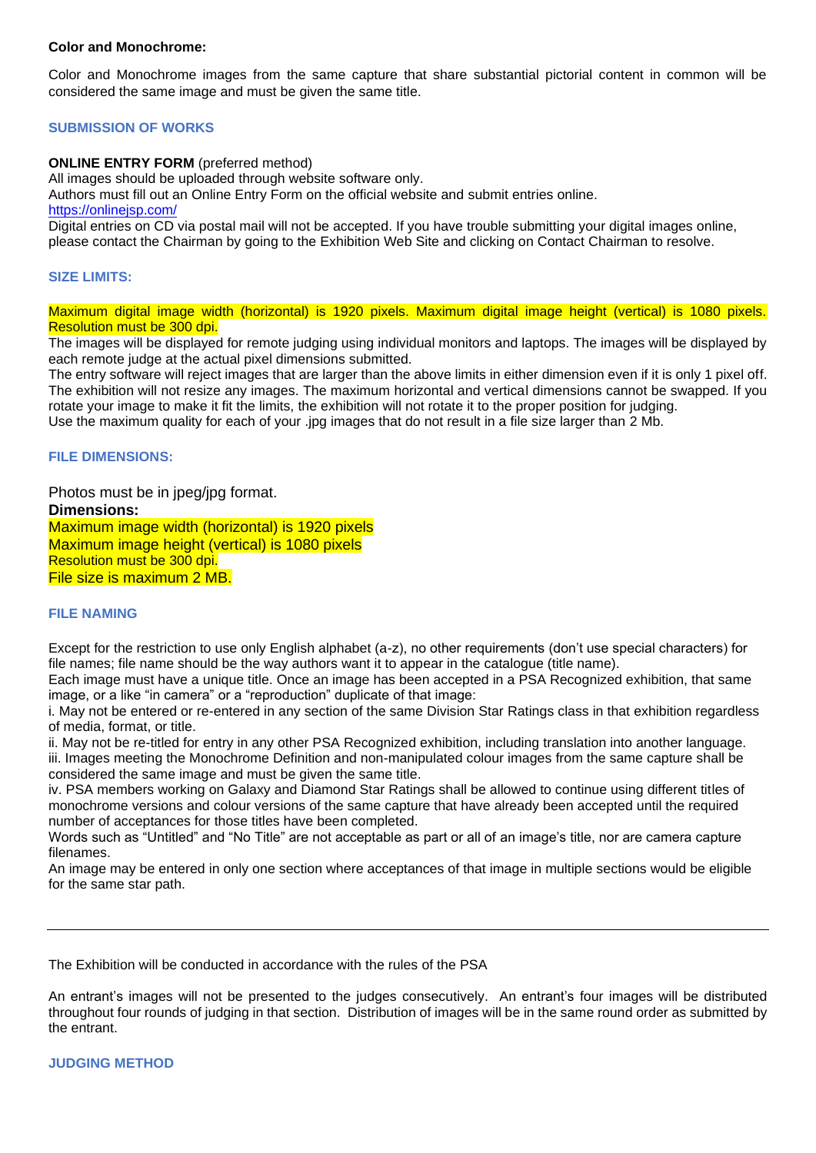### **Color and Monochrome:**

Color and Monochrome images from the same capture that share substantial pictorial content in common will be considered the same image and must be given the same title.

## **SUBMISSION OF WORKS**

### **ONLINE ENTRY FORM** (preferred method)

All images should be uploaded through website software only.

Authors must fill out an Online Entry Form on the official website and submit entries online.

<https://onlinejsp.com/>

Digital entries on CD via postal mail will not be accepted. If you have trouble submitting your digital images online, please contact the Chairman by going to the Exhibition Web Site and clicking on Contact Chairman to resolve.

#### **SIZE LIMITS:**

Maximum digital image width (horizontal) is 1920 pixels. Maximum digital image height (vertical) is 1080 pixels. Resolution must be 300 dpi.

The images will be displayed for remote judging using individual monitors and laptops. The images will be displayed by each remote judge at the actual pixel dimensions submitted.

The entry software will reject images that are larger than the above limits in either dimension even if it is only 1 pixel off. The exhibition will not resize any images. The maximum horizontal and vertical dimensions cannot be swapped. If you rotate your image to make it fit the limits, the exhibition will not rotate it to the proper position for judging. Use the maximum quality for each of your .jpg images that do not result in a file size larger than 2 Mb.

### **FILE DIMENSIONS:**

Photos must be in jpeg/jpg format. **Dimensions:** Maximum image width (horizontal) is 1920 pixels Maximum image height (vertical) is 1080 pixels Resolution must be 300 dpi. File size is maximum 2 MB.

#### **FILE NAMING**

Except for the restriction to use only English alphabet (a-z), no other requirements (don't use special characters) for file names; file name should be the way authors want it to appear in the catalogue (title name).

Each image must have a unique title. Once an image has been accepted in a PSA Recognized exhibition, that same image, or a like "in camera" or a "reproduction" duplicate of that image:

i. May not be entered or re-entered in any section of the same Division Star Ratings class in that exhibition regardless of media, format, or title.

ii. May not be re-titled for entry in any other PSA Recognized exhibition, including translation into another language. iii. Images meeting the Monochrome Definition and non-manipulated colour images from the same capture shall be considered the same image and must be given the same title.

iv. PSA members working on Galaxy and Diamond Star Ratings shall be allowed to continue using different titles of monochrome versions and colour versions of the same capture that have already been accepted until the required number of acceptances for those titles have been completed.

Words such as "Untitled" and "No Title" are not acceptable as part or all of an image's title, nor are camera capture filenames.

An image may be entered in only one section where acceptances of that image in multiple sections would be eligible for the same star path.

The Exhibition will be conducted in accordance with the rules of the PSA

An entrant's images will not be presented to the judges consecutively. An entrant's four images will be distributed throughout four rounds of judging in that section. Distribution of images will be in the same round order as submitted by the entrant.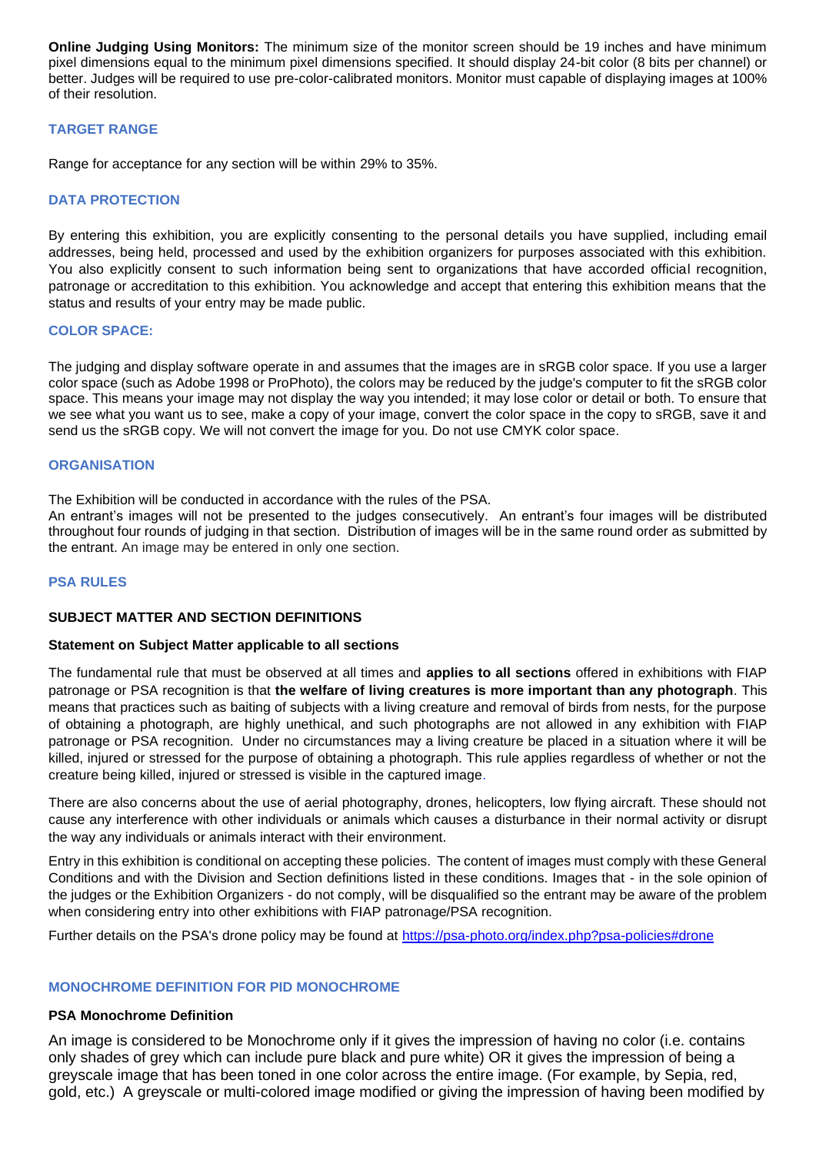**Online Judging Using Monitors:** The minimum size of the monitor screen should be 19 inches and have minimum pixel dimensions equal to the minimum pixel dimensions specified. It should display 24-bit color (8 bits per channel) or better. Judges will be required to use pre-color-calibrated monitors. Monitor must capable of displaying images at 100% of their resolution.

## **TARGET RANGE**

Range for acceptance for any section will be within 29% to 35%.

## **DATA PROTECTION**

By entering this exhibition, you are explicitly consenting to the personal details you have supplied, including email addresses, being held, processed and used by the exhibition organizers for purposes associated with this exhibition. You also explicitly consent to such information being sent to organizations that have accorded official recognition, patronage or accreditation to this exhibition. You acknowledge and accept that entering this exhibition means that the status and results of your entry may be made public.

## **COLOR SPACE:**

The judging and display software operate in and assumes that the images are in sRGB color space. If you use a larger color space (such as Adobe 1998 or ProPhoto), the colors may be reduced by the judge's computer to fit the sRGB color space. This means your image may not display the way you intended; it may lose color or detail or both. To ensure that we see what you want us to see, make a copy of your image, convert the color space in the copy to sRGB, save it and send us the sRGB copy. We will not convert the image for you. Do not use CMYK color space.

#### **ORGANISATION**

The Exhibition will be conducted in accordance with the rules of the PSA.

An entrant's images will not be presented to the judges consecutively. An entrant's four images will be distributed throughout four rounds of judging in that section. Distribution of images will be in the same round order as submitted by the entrant. An image may be entered in only one section.

## **PSA RULES**

## **SUBJECT MATTER AND SECTION DEFINITIONS**

#### **Statement on Subject Matter applicable to all sections**

The fundamental rule that must be observed at all times and **applies to all sections** offered in exhibitions with FIAP patronage or PSA recognition is that **the welfare of living creatures is more important than any photograph**. This means that practices such as baiting of subjects with a living creature and removal of birds from nests, for the purpose of obtaining a photograph, are highly unethical, and such photographs are not allowed in any exhibition with FIAP patronage or PSA recognition. Under no circumstances may a living creature be placed in a situation where it will be killed, injured or stressed for the purpose of obtaining a photograph. This rule applies regardless of whether or not the creature being killed, injured or stressed is visible in the captured image.

There are also concerns about the use of aerial photography, drones, helicopters, low flying aircraft. These should not cause any interference with other individuals or animals which causes a disturbance in their normal activity or disrupt the way any individuals or animals interact with their environment.

Entry in this exhibition is conditional on accepting these policies. The content of images must comply with these General Conditions and with the Division and Section definitions listed in these conditions. Images that - in the sole opinion of the judges or the Exhibition Organizers - do not comply, will be disqualified so the entrant may be aware of the problem when considering entry into other exhibitions with FIAP patronage/PSA recognition.

Further details on the PSA's drone policy may be found at [https://psa-photo.org/index.php?psa-policies#drone](https://psa-photo.org/index.php?psa-policies%23drone)

## **MONOCHROME DEFINITION FOR PID MONOCHROME**

## **PSA Monochrome Definition**

An image is considered to be Monochrome only if it gives the impression of having no color (i.e. contains only shades of grey which can include pure black and pure white) OR it gives the impression of being a greyscale image that has been toned in one color across the entire image. (For example, by Sepia, red, gold, etc.) A greyscale or multi-colored image modified or giving the impression of having been modified by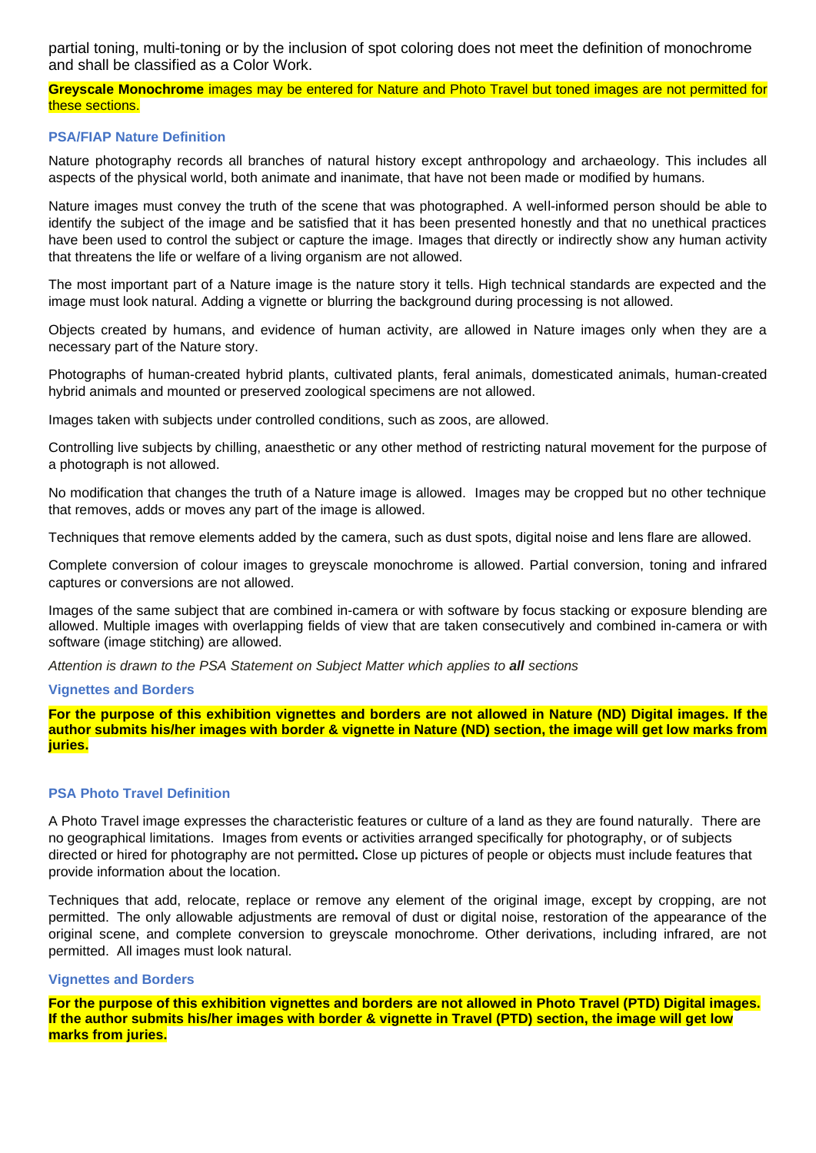partial toning, multi-toning or by the inclusion of spot coloring does not meet the definition of monochrome and shall be classified as a Color Work.

**Greyscale Monochrome** images may be entered for Nature and Photo Travel but toned images are not permitted for these sections.

### **PSA/FIAP Nature Definition**

Nature photography records all branches of natural history except anthropology and archaeology. This includes all aspects of the physical world, both animate and inanimate, that have not been made or modified by humans.

Nature images must convey the truth of the scene that was photographed. A well-informed person should be able to identify the subject of the image and be satisfied that it has been presented honestly and that no unethical practices have been used to control the subject or capture the image. Images that directly or indirectly show any human activity that threatens the life or welfare of a living organism are not allowed.

The most important part of a Nature image is the nature story it tells. High technical standards are expected and the image must look natural. Adding a vignette or blurring the background during processing is not allowed.

Objects created by humans, and evidence of human activity, are allowed in Nature images only when they are a necessary part of the Nature story.

Photographs of human-created hybrid plants, cultivated plants, feral animals, domesticated animals, human-created hybrid animals and mounted or preserved zoological specimens are not allowed.

Images taken with subjects under controlled conditions, such as zoos, are allowed.

Controlling live subjects by chilling, anaesthetic or any other method of restricting natural movement for the purpose of a photograph is not allowed.

No modification that changes the truth of a Nature image is allowed. Images may be cropped but no other technique that removes, adds or moves any part of the image is allowed.

Techniques that remove elements added by the camera, such as dust spots, digital noise and lens flare are allowed.

Complete conversion of colour images to greyscale monochrome is allowed. Partial conversion, toning and infrared captures or conversions are not allowed.

Images of the same subject that are combined in-camera or with software by focus stacking or exposure blending are allowed. Multiple images with overlapping fields of view that are taken consecutively and combined in-camera or with software (image stitching) are allowed.

*Attention is drawn to the PSA Statement on Subject Matter which applies to all sections*

#### **Vignettes and Borders**

For the purpose of this exhibition vignettes and borders are not allowed in Nature (ND) Digital images. If the author submits his/her images with border & vignette in Nature (ND) section, the image will get low marks from **juries.**

### **PSA Photo Travel Definition**

A Photo Travel image expresses the characteristic features or culture of a land as they are found naturally. There are no geographical limitations. Images from events or activities arranged specifically for photography, or of subjects directed or hired for photography are not permitted**.** Close up pictures of people or objects must include features that provide information about the location.

Techniques that add, relocate, replace or remove any element of the original image, except by cropping, are not permitted. The only allowable adjustments are removal of dust or digital noise, restoration of the appearance of the original scene, and complete conversion to greyscale monochrome. Other derivations, including infrared, are not permitted. All images must look natural.

#### **Vignettes and Borders**

For the purpose of this exhibition vignettes and borders are not allowed in Photo Travel (PTD) Digital images. If the author submits his/her images with border & vignette in Travel (PTD) section, the image will get low **marks from juries.**